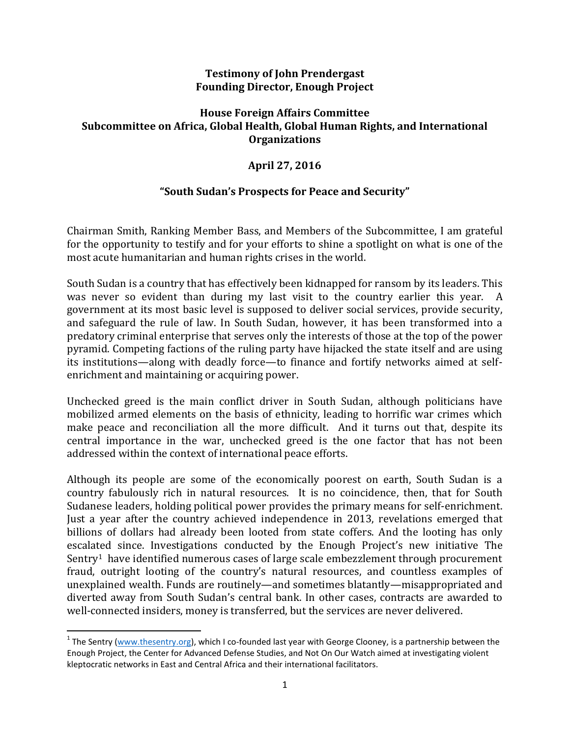#### **Testimony of John Prendergast Founding Director, Enough Project**

## **House Foreign Affairs Committee Subcommittee on Africa, Global Health, Global Human Rights, and International Organizations**

# **April 27, 2016**

# **"South Sudan's Prospects for Peace and Security"**

Chairman Smith, Ranking Member Bass, and Members of the Subcommittee, I am grateful for the opportunity to testify and for your efforts to shine a spotlight on what is one of the most acute humanitarian and human rights crises in the world.

South Sudan is a country that has effectively been kidnapped for ransom by its leaders. This was never so evident than during my last visit to the country earlier this year. A government at its most basic level is supposed to deliver social services, provide security, and safeguard the rule of law. In South Sudan, however, it has been transformed into a predatory criminal enterprise that serves only the interests of those at the top of the power pyramid. Competing factions of the ruling party have hijacked the state itself and are using its institutions—along with deadly force—to finance and fortify networks aimed at selfenrichment and maintaining or acquiring power.

Unchecked greed is the main conflict driver in South Sudan, although politicians have mobilized armed elements on the basis of ethnicity, leading to horrific war crimes which make peace and reconciliation all the more difficult. And it turns out that, despite its central importance in the war, unchecked greed is the one factor that has not been addressed within the context of international peace efforts.

Although its people are some of the economically poorest on earth, South Sudan is a country fabulously rich in natural resources. It is no coincidence, then, that for South Sudanese leaders, holding political power provides the primary means for self-enrichment. Just a year after the country achieved independence in 2013, revelations emerged that billions of dollars had already been looted from state coffers. And the looting has only escalated since. Investigations conducted by the Enough Project's new initiative The Sentry<sup>1</sup> have identified numerous cases of large scale embezzlement through procurement fraud, outright looting of the country's natural resources, and countless examples of unexplained wealth. Funds are routinely—and sometimes blatantly—misappropriated and diverted away from South Sudan's central bank. In other cases, contracts are awarded to well-connected insiders, money is transferred, but the services are never delivered.

 $\overline{\phantom{a}}$ 

<sup>&</sup>lt;sup>1</sup> The Sentry [\(www.thesentry.org\)](http://www.thesentry.org/), which I co-founded last year with George Clooney, is a partnership between the Enough Project, the Center for Advanced Defense Studies, and Not On Our Watch aimed at investigating violent kleptocratic networks in East and Central Africa and their international facilitators.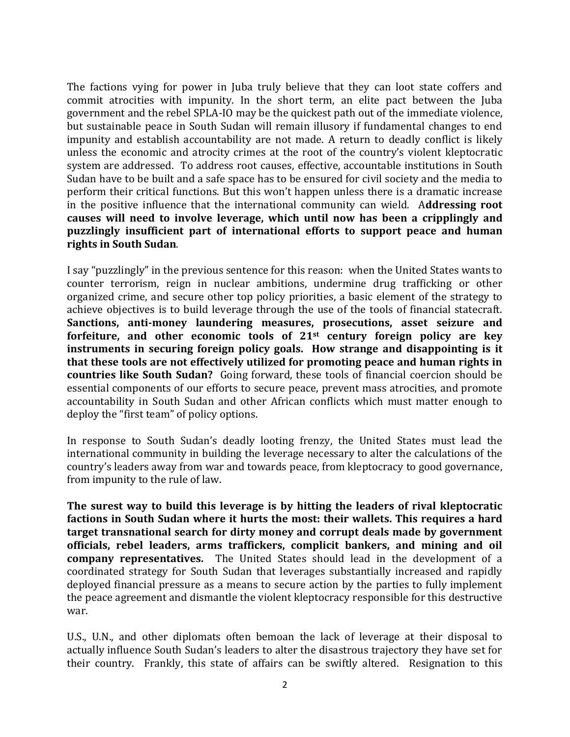The factions vying for power in Juba truly believe that they can loot state coffers and commit atrocities with impunity. In the short term, an elite pact between the Juba government and the rebel SPLA-IO may be the quickest path out of the immediate violence, but sustainable peace in South Sudan will remain illusory if fundamental changes to end impunity and establish accountability are not made. A return to deadly conflict is likely unless the economic and atrocity crimes at the root of the country's violent kleptocratic system are addressed. To address root causes, effective, accountable institutions in South Sudan have to be built and a safe space has to be ensured for civil society and the media to perform their critical functions. But this won't happen unless there is a dramatic increase in the positive influence that the international community can wield. A**ddressing root causes will need to involve leverage, which until now has been a cripplingly and puzzlingly insufficient part of international efforts to support peace and human rights in South Sudan**.

I say "puzzlingly" in the previous sentence for this reason: when the United States wants to counter terrorism, reign in nuclear ambitions, undermine drug trafficking or other organized crime, and secure other top policy priorities, a basic element of the strategy to achieve objectives is to build leverage through the use of the tools of financial statecraft. **Sanctions, anti-money laundering measures, prosecutions, asset seizure and forfeiture, and other economic tools of 21st century foreign policy are key instruments in securing foreign policy goals. How strange and disappointing is it that these tools are not effectively utilized for promoting peace and human rights in countries like South Sudan?** Going forward, these tools of financial coercion should be essential components of our efforts to secure peace, prevent mass atrocities, and promote accountability in South Sudan and other African conflicts which must matter enough to deploy the "first team" of policy options.

In response to South Sudan's deadly looting frenzy, the United States must lead the international community in building the leverage necessary to alter the calculations of the country's leaders away from war and towards peace, from kleptocracy to good governance, from impunity to the rule of law.

**The surest way to build this leverage is by hitting the leaders of rival kleptocratic factions in South Sudan where it hurts the most: their wallets. This requires a hard target transnational search for dirty money and corrupt deals made by government officials, rebel leaders, arms traffickers, complicit bankers, and mining and oil company representatives.** The United States should lead in the development of a coordinated strategy for South Sudan that leverages substantially increased and rapidly deployed financial pressure as a means to secure action by the parties to fully implement the peace agreement and dismantle the violent kleptocracy responsible for this destructive war.

U.S., U.N., and other diplomats often bemoan the lack of leverage at their disposal to actually influence South Sudan's leaders to alter the disastrous trajectory they have set for their country. Frankly, this state of affairs can be swiftly altered. Resignation to this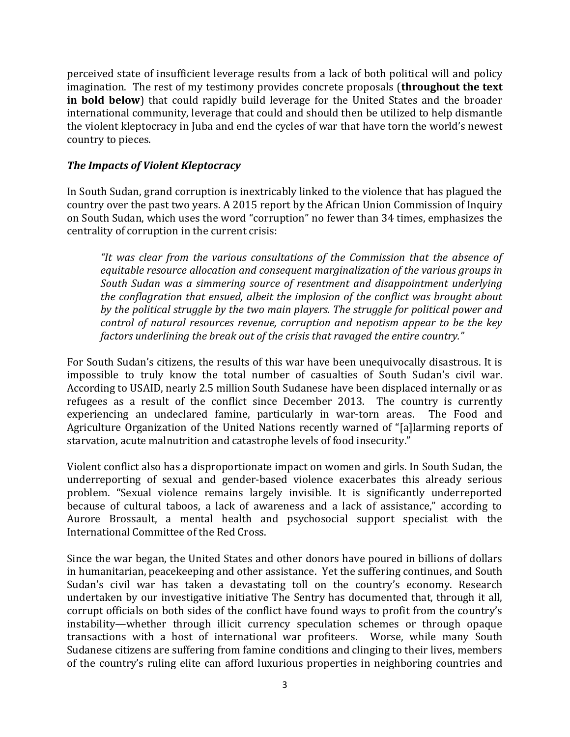perceived state of insufficient leverage results from a lack of both political will and policy imagination. The rest of my testimony provides concrete proposals (**throughout the text in bold below**) that could rapidly build leverage for the United States and the broader international community, leverage that could and should then be utilized to help dismantle the violent kleptocracy in Juba and end the cycles of war that have torn the world's newest country to pieces.

# *The Impacts of Violent Kleptocracy*

In South Sudan, grand corruption is inextricably linked to the violence that has plagued the country over the past two years. A 2015 report by the African Union Commission of Inquiry on South Sudan, which uses the word "corruption" no fewer than 34 times, emphasizes the centrality of corruption in the current crisis:

*"It was clear from the various consultations of the Commission that the absence of equitable resource allocation and consequent marginalization of the various groups in South Sudan was a simmering source of resentment and disappointment underlying the conflagration that ensued, albeit the implosion of the conflict was brought about by the political struggle by the two main players. The struggle for political power and control of natural resources revenue, corruption and nepotism appear to be the key factors underlining the break out of the crisis that ravaged the entire country."*

For South Sudan's citizens, the results of this war have been unequivocally disastrous. It is impossible to truly know the total number of casualties of South Sudan's civil war. According to USAID, nearly 2.5 million South Sudanese have been displaced internally or as refugees as a result of the conflict since December 2013. The country is currently experiencing an undeclared famine, particularly in war-torn areas. The Food and Agriculture Organization of the United Nations recently warned of "[a]larming reports of starvation, acute malnutrition and catastrophe levels of food insecurity."

Violent conflict also has a disproportionate impact on women and girls. In South Sudan, the underreporting of sexual and gender-based violence exacerbates this already serious problem. "Sexual violence remains largely invisible. It is significantly underreported because of cultural taboos, a lack of awareness and a lack of assistance," according to Aurore Brossault, a mental health and psychosocial support specialist with the International Committee of the Red Cross.

Since the war began, the United States and other donors have poured in billions of dollars in humanitarian, peacekeeping and other assistance. Yet the suffering continues, and South Sudan's civil war has taken a devastating toll on the country's economy. Research undertaken by our investigative initiative The Sentry has documented that, through it all, corrupt officials on both sides of the conflict have found ways to profit from the country's instability—whether through illicit currency speculation schemes or through opaque transactions with a host of international war profiteers. Worse, while many South Sudanese citizens are suffering from famine conditions and clinging to their lives, members of the country's ruling elite can afford luxurious properties in neighboring countries and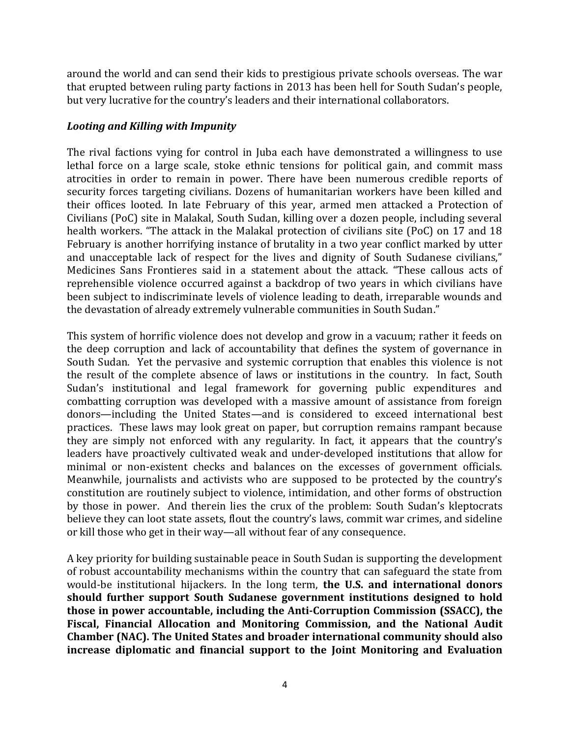around the world and can send their kids to prestigious private schools overseas. The war that erupted between ruling party factions in 2013 has been hell for South Sudan's people, but very lucrative for the country's leaders and their international collaborators.

## *Looting and Killing with Impunity*

The rival factions vying for control in Juba each have demonstrated a willingness to use lethal force on a large scale, stoke ethnic tensions for political gain, and commit mass atrocities in order to remain in power. There have been numerous credible reports of security forces targeting civilians. Dozens of humanitarian workers have been killed and their offices looted. In late February of this year, armed men attacked a Protection of Civilians (PoC) site in Malakal, South Sudan, killing over a dozen people, including several health workers. "The attack in the Malakal protection of civilians site (PoC) on 17 and 18 February is another horrifying instance of brutality in a two year conflict marked by utter and unacceptable lack of respect for the lives and dignity of South Sudanese civilians," Medicines Sans Frontieres said in a statement about the attack. "These callous acts of reprehensible violence occurred against a backdrop of two years in which civilians have been subject to indiscriminate levels of violence leading to death, irreparable wounds and the devastation of already extremely vulnerable communities in South Sudan."

This system of horrific violence does not develop and grow in a vacuum; rather it feeds on the deep corruption and lack of accountability that defines the system of governance in South Sudan. Yet the pervasive and systemic corruption that enables this violence is not the result of the complete absence of laws or institutions in the country. In fact, South Sudan's institutional and legal framework for governing public expenditures and combatting corruption was developed with a massive amount of assistance from foreign donors—including the United States—and is considered to exceed international best practices. These laws may look great on paper, but corruption remains rampant because they are simply not enforced with any regularity. In fact, it appears that the country's leaders have proactively cultivated weak and under-developed institutions that allow for minimal or non-existent checks and balances on the excesses of government officials. Meanwhile, journalists and activists who are supposed to be protected by the country's constitution are routinely subject to violence, intimidation, and other forms of obstruction by those in power. And therein lies the crux of the problem: South Sudan's kleptocrats believe they can loot state assets, flout the country's laws, commit war crimes, and sideline or kill those who get in their way—all without fear of any consequence.

A key priority for building sustainable peace in South Sudan is supporting the development of robust accountability mechanisms within the country that can safeguard the state from would-be institutional hijackers. In the long term, **the U.S. and international donors should further support South Sudanese government institutions designed to hold those in power accountable, including the Anti-Corruption Commission (SSACC), the Fiscal, Financial Allocation and Monitoring Commission, and the National Audit Chamber (NAC). The United States and broader international community should also increase diplomatic and financial support to the Joint Monitoring and Evaluation**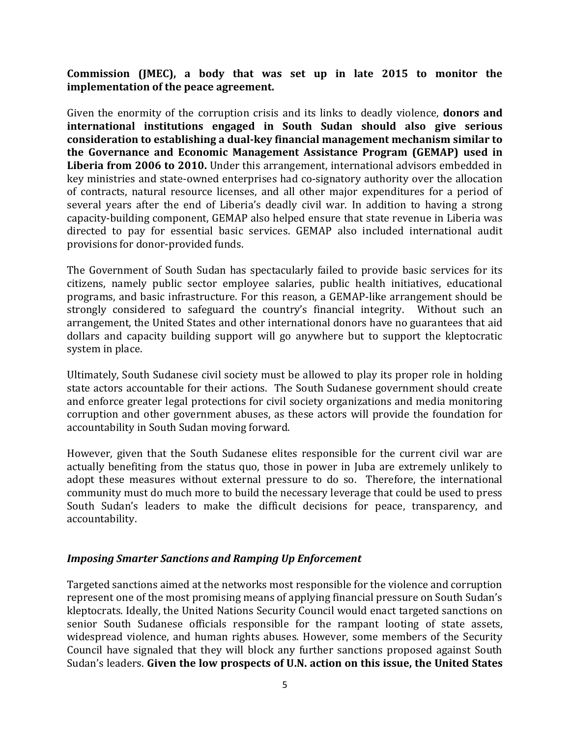**Commission (JMEC), a body that was set up in late 2015 to monitor the implementation of the peace agreement.**

Given the enormity of the corruption crisis and its links to deadly violence, **donors and international institutions engaged in South Sudan should also give serious consideration to establishing a dual-key financial management mechanism similar to the Governance and Economic Management Assistance Program (GEMAP) used in Liberia from 2006 to 2010.** Under this arrangement, international advisors embedded in key ministries and state-owned enterprises had co-signatory authority over the allocation of contracts, natural resource licenses, and all other major expenditures for a period of several years after the end of Liberia's deadly civil war. In addition to having a strong capacity-building component, GEMAP also helped ensure that state revenue in Liberia was directed to pay for essential basic services. GEMAP also included international audit provisions for donor-provided funds.

The Government of South Sudan has spectacularly failed to provide basic services for its citizens, namely public sector employee salaries, public health initiatives, educational programs, and basic infrastructure. For this reason, a GEMAP-like arrangement should be strongly considered to safeguard the country's financial integrity. Without such an arrangement, the United States and other international donors have no guarantees that aid dollars and capacity building support will go anywhere but to support the kleptocratic system in place.

Ultimately, South Sudanese civil society must be allowed to play its proper role in holding state actors accountable for their actions. The South Sudanese government should create and enforce greater legal protections for civil society organizations and media monitoring corruption and other government abuses, as these actors will provide the foundation for accountability in South Sudan moving forward.

However, given that the South Sudanese elites responsible for the current civil war are actually benefiting from the status quo, those in power in Juba are extremely unlikely to adopt these measures without external pressure to do so. Therefore, the international community must do much more to build the necessary leverage that could be used to press South Sudan's leaders to make the difficult decisions for peace, transparency, and accountability.

## *Imposing Smarter Sanctions and Ramping Up Enforcement*

Targeted sanctions aimed at the networks most responsible for the violence and corruption represent one of the most promising means of applying financial pressure on South Sudan's kleptocrats. Ideally, the United Nations Security Council would enact targeted sanctions on senior South Sudanese officials responsible for the rampant looting of state assets, widespread violence, and human rights abuses. However, some members of the Security Council have signaled that they will block any further sanctions proposed against South Sudan's leaders. **Given the low prospects of U.N. action on this issue, the United States**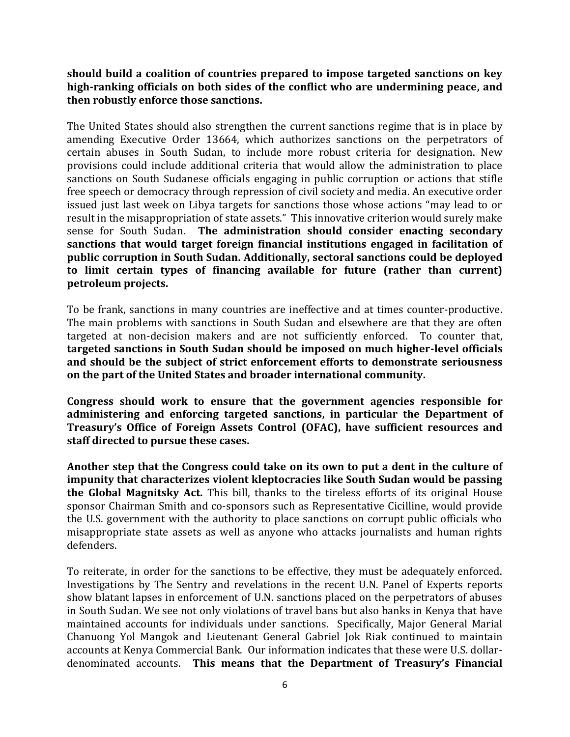## **should build a coalition of countries prepared to impose targeted sanctions on key high-ranking officials on both sides of the conflict who are undermining peace, and then robustly enforce those sanctions.**

The United States should also strengthen the current sanctions regime that is in place by amending Executive Order 13664, which authorizes sanctions on the perpetrators of certain abuses in South Sudan, to include more robust criteria for designation. New provisions could include additional criteria that would allow the administration to place sanctions on South Sudanese officials engaging in public corruption or actions that stifle free speech or democracy through repression of civil society and media. An executive order issued just last week on Libya targets for sanctions those whose actions "may lead to or result in the misappropriation of state assets." This innovative criterion would surely make sense for South Sudan. **The administration should consider enacting secondary sanctions that would target foreign financial institutions engaged in facilitation of public corruption in South Sudan. Additionally, sectoral sanctions could be deployed to limit certain types of financing available for future (rather than current) petroleum projects.**

To be frank, sanctions in many countries are ineffective and at times counter-productive. The main problems with sanctions in South Sudan and elsewhere are that they are often targeted at non-decision makers and are not sufficiently enforced. To counter that, **targeted sanctions in South Sudan should be imposed on much higher-level officials and should be the subject of strict enforcement efforts to demonstrate seriousness on the part of the United States and broader international community.**

**Congress should work to ensure that the government agencies responsible for administering and enforcing targeted sanctions, in particular the Department of Treasury's Office of Foreign Assets Control (OFAC), have sufficient resources and staff directed to pursue these cases.** 

**Another step that the Congress could take on its own to put a dent in the culture of impunity that characterizes violent kleptocracies like South Sudan would be passing the Global Magnitsky Act.** This bill, thanks to the tireless efforts of its original House sponsor Chairman Smith and co-sponsors such as Representative Cicilline, would provide the U.S. government with the authority to place sanctions on corrupt public officials who misappropriate state assets as well as anyone who attacks journalists and human rights defenders.

To reiterate, in order for the sanctions to be effective, they must be adequately enforced. Investigations by The Sentry and revelations in the recent U.N. Panel of Experts reports show blatant lapses in enforcement of U.N. sanctions placed on the perpetrators of abuses in South Sudan. We see not only violations of travel bans but also banks in Kenya that have maintained accounts for individuals under sanctions. Specifically, Major General Marial Chanuong Yol Mangok and Lieutenant General Gabriel Jok Riak continued to maintain accounts at Kenya Commercial Bank. Our information indicates that these were U.S. dollardenominated accounts. **This means that the Department of Treasury's Financial**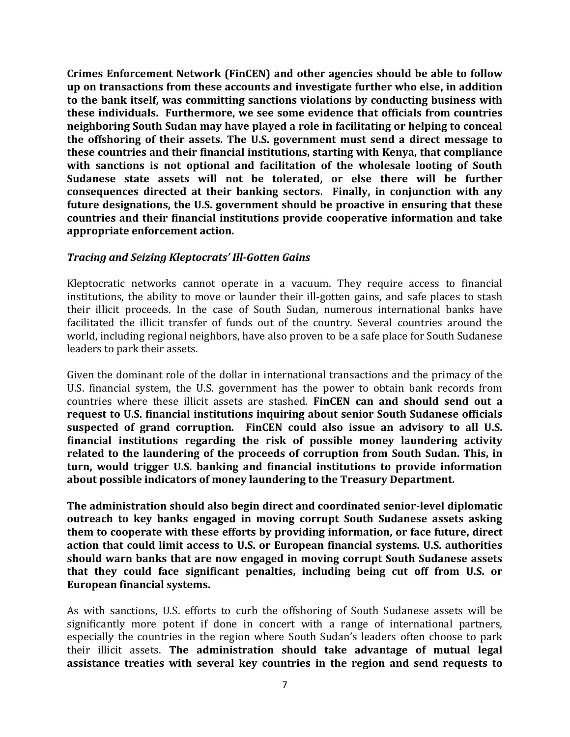**Crimes Enforcement Network (FinCEN) and other agencies should be able to follow up on transactions from these accounts and investigate further who else, in addition to the bank itself, was committing sanctions violations by conducting business with these individuals. Furthermore, we see some evidence that officials from countries neighboring South Sudan may have played a role in facilitating or helping to conceal the offshoring of their assets. The U.S. government must send a direct message to these countries and their financial institutions, starting with Kenya, that compliance with sanctions is not optional and facilitation of the wholesale looting of South Sudanese state assets will not be tolerated, or else there will be further consequences directed at their banking sectors. Finally, in conjunction with any future designations, the U.S. government should be proactive in ensuring that these countries and their financial institutions provide cooperative information and take appropriate enforcement action.** 

#### *Tracing and Seizing Kleptocrats' Ill-Gotten Gains*

Kleptocratic networks cannot operate in a vacuum. They require access to financial institutions, the ability to move or launder their ill-gotten gains, and safe places to stash their illicit proceeds. In the case of South Sudan, numerous international banks have facilitated the illicit transfer of funds out of the country. Several countries around the world, including regional neighbors, have also proven to be a safe place for South Sudanese leaders to park their assets.

Given the dominant role of the dollar in international transactions and the primacy of the U.S. financial system, the U.S. government has the power to obtain bank records from countries where these illicit assets are stashed. **FinCEN can and should send out a request to U.S. financial institutions inquiring about senior South Sudanese officials suspected of grand corruption***.* **FinCEN could also issue an advisory to all U.S. financial institutions regarding the risk of possible money laundering activity related to the laundering of the proceeds of corruption from South Sudan. This, in turn, would trigger U.S. banking and financial institutions to provide information about possible indicators of money laundering to the Treasury Department.**

**The administration should also begin direct and coordinated senior-level diplomatic outreach to key banks engaged in moving corrupt South Sudanese assets asking them to cooperate with these efforts by providing information, or face future, direct action that could limit access to U.S. or European financial systems. U.S. authorities should warn banks that are now engaged in moving corrupt South Sudanese assets that they could face significant penalties, including being cut off from U.S. or European financial systems.**

As with sanctions, U.S. efforts to curb the offshoring of South Sudanese assets will be significantly more potent if done in concert with a range of international partners, especially the countries in the region where South Sudan's leaders often choose to park their illicit assets. **The administration should take advantage of mutual legal assistance treaties with several key countries in the region and send requests to**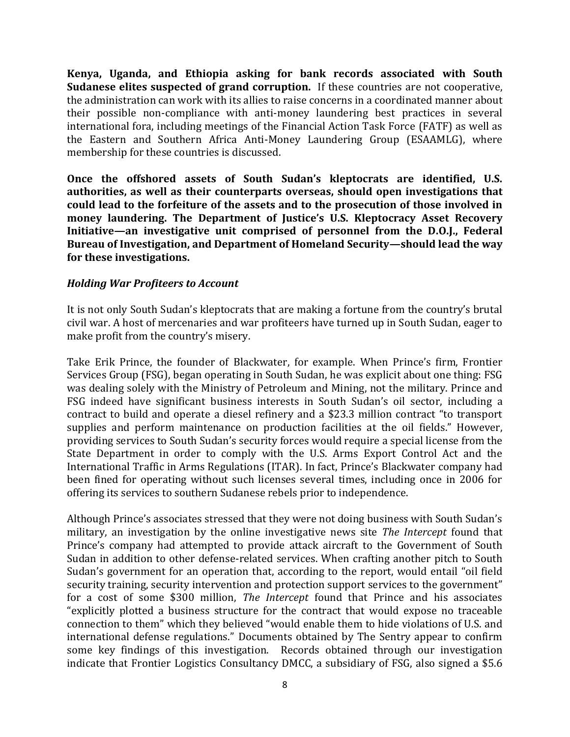**Kenya, Uganda, and Ethiopia asking for bank records associated with South Sudanese elites suspected of grand corruption.** If these countries are not cooperative, the administration can work with its allies to raise concerns in a coordinated manner about their possible non-compliance with anti-money laundering best practices in several international fora, including meetings of the Financial Action Task Force (FATF) as well as the Eastern and Southern Africa Anti-Money Laundering Group (ESAAMLG), where membership for these countries is discussed.

**Once the offshored assets of South Sudan's kleptocrats are identified, U.S. authorities, as well as their counterparts overseas, should open investigations that could lead to the forfeiture of the assets and to the prosecution of those involved in money laundering. The Department of Justice's U.S. Kleptocracy Asset Recovery Initiative—an investigative unit comprised of personnel from the D.O.J., Federal Bureau of Investigation, and Department of Homeland Security—should lead the way for these investigations.** 

#### *Holding War Profiteers to Account*

It is not only South Sudan's kleptocrats that are making a fortune from the country's brutal civil war. A host of mercenaries and war profiteers have turned up in South Sudan, eager to make profit from the country's misery.

Take Erik Prince, the founder of Blackwater, for example. When Prince's firm, Frontier Services Group (FSG), began operating in South Sudan, he was explicit about one thing: FSG was dealing solely with the Ministry of Petroleum and Mining, not the military. Prince and FSG indeed have significant business interests in South Sudan's oil sector, including a contract to build and operate a diesel refinery and a \$23.3 million contract "to transport supplies and perform maintenance on production facilities at the oil fields." However, providing services to South Sudan's security forces would require a special license from the State Department in order to comply with the U.S. Arms Export Control Act and the International Traffic in Arms Regulations (ITAR). In fact, Prince's Blackwater company had been fined for operating without such licenses several times, including once in 2006 for offering its services to southern Sudanese rebels prior to independence.

Although Prince's associates stressed that they were not doing business with South Sudan's military, an investigation by the online investigative news site *The Intercept* found that Prince's company had attempted to provide attack aircraft to the Government of South Sudan in addition to other defense-related services. When crafting another pitch to South Sudan's government for an operation that, according to the report, would entail "oil field security training, security intervention and protection support services to the government" for a cost of some \$300 million, *The Intercept* found that Prince and his associates "explicitly plotted a business structure for the contract that would expose no traceable connection to them" which they believed "would enable them to hide violations of U.S. and international defense regulations." Documents obtained by The Sentry appear to confirm some key findings of this investigation. Records obtained through our investigation indicate that Frontier Logistics Consultancy DMCC, a subsidiary of FSG, also signed a \$5.6